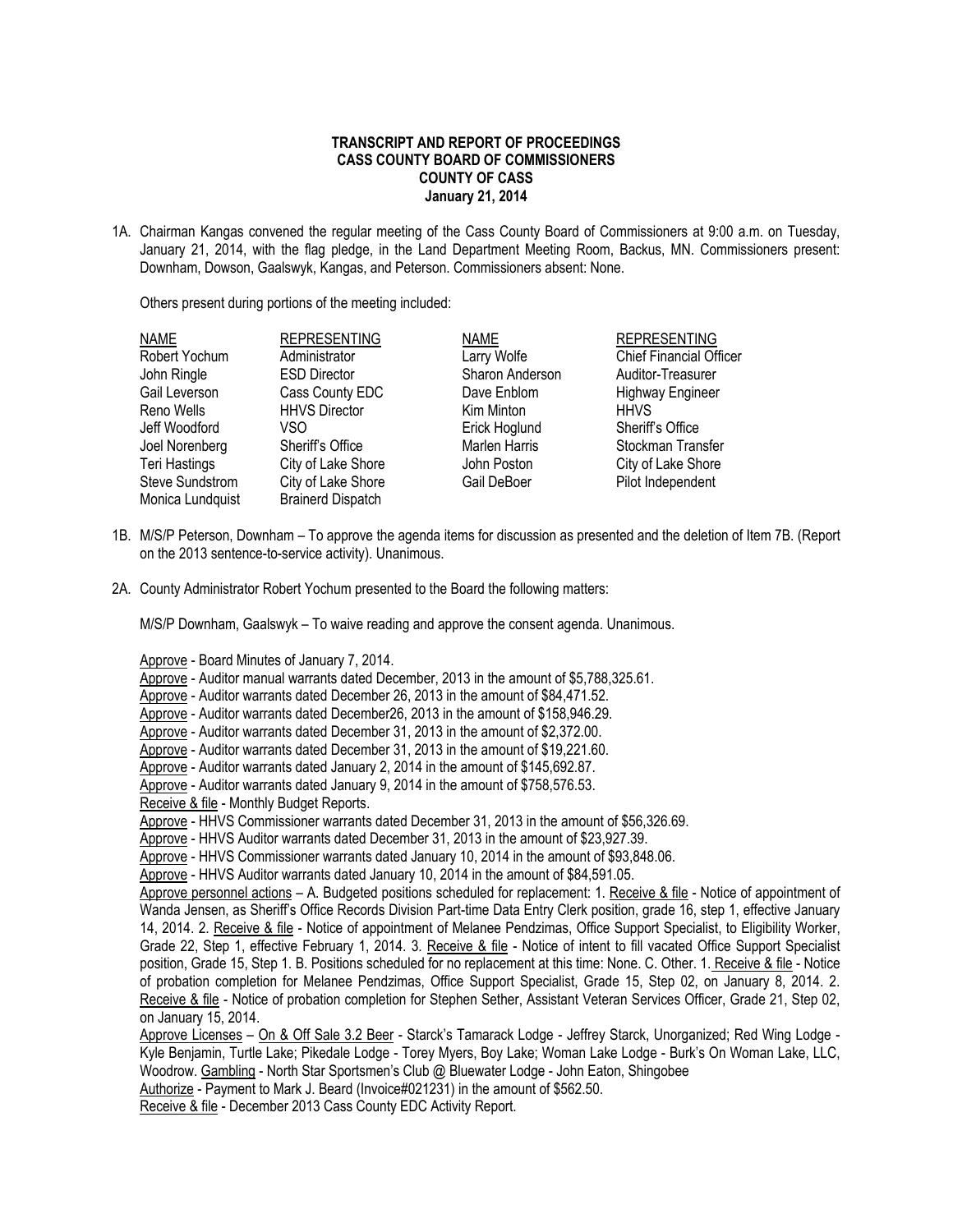## **TRANSCRIPT AND REPORT OF PROCEEDINGS CASS COUNTY BOARD OF COMMISSIONERS COUNTY OF CASS January 21, 2014**

1A. Chairman Kangas convened the regular meeting of the Cass County Board of Commissioners at 9:00 a.m. on Tuesday, January 21, 2014, with the flag pledge, in the Land Department Meeting Room, Backus, MN. Commissioners present: Downham, Dowson, Gaalswyk, Kangas, and Peterson. Commissioners absent: None.

Others present during portions of the meeting included:

| NAME                   | <b>REPRESENTING</b>      | <b>NAME</b>     | <b>REPRESENTING</b>            |
|------------------------|--------------------------|-----------------|--------------------------------|
| Robert Yochum          | Administrator            | Larry Wolfe     | <b>Chief Financial Officer</b> |
| John Ringle            | <b>ESD Director</b>      | Sharon Anderson | Auditor-Treasurer              |
| Gail Leverson          | Cass County EDC          | Dave Enblom     | <b>Highway Engineer</b>        |
| Reno Wells             | <b>HHVS Director</b>     | Kim Minton      | <b>HHVS</b>                    |
| Jeff Woodford          | VSO                      | Erick Hoglund   | Sheriff's Office               |
| Joel Norenberg         | Sheriff's Office         | Marlen Harris   | Stockman Transfer              |
| Teri Hastings          | City of Lake Shore       | John Poston     | City of Lake Shore             |
| <b>Steve Sundstrom</b> | City of Lake Shore       | Gail DeBoer     | Pilot Independent              |
| Monica Lundquist       | <b>Brainerd Dispatch</b> |                 |                                |

- 1B. M/S/P Peterson, Downham To approve the agenda items for discussion as presented and the deletion of Item 7B. (Report on the 2013 sentence-to-service activity). Unanimous.
- 2A. County Administrator Robert Yochum presented to the Board the following matters:

M/S/P Downham, Gaalswyk – To waive reading and approve the consent agenda. Unanimous.

Approve - Board Minutes of January 7, 2014.

Approve - Auditor manual warrants dated December, 2013 in the amount of \$5,788,325.61.

Approve - Auditor warrants dated December 26, 2013 in the amount of \$84,471.52.

Approve - Auditor warrants dated December26, 2013 in the amount of \$158,946.29.

Approve - Auditor warrants dated December 31, 2013 in the amount of \$2,372.00.

Approve - Auditor warrants dated December 31, 2013 in the amount of \$19,221.60.

Approve - Auditor warrants dated January 2, 2014 in the amount of \$145,692.87.

Approve - Auditor warrants dated January 9, 2014 in the amount of \$758,576.53.

Receive & file - Monthly Budget Reports.

Approve - HHVS Commissioner warrants dated December 31, 2013 in the amount of \$56,326.69.

Approve - HHVS Auditor warrants dated December 31, 2013 in the amount of \$23,927.39.

Approve - HHVS Commissioner warrants dated January 10, 2014 in the amount of \$93,848.06.

Approve - HHVS Auditor warrants dated January 10, 2014 in the amount of \$84,591.05.

Approve personnel actions – A. Budgeted positions scheduled for replacement: 1. Receive & file - Notice of appointment of Wanda Jensen, as Sheriff's Office Records Division Part-time Data Entry Clerk position, grade 16, step 1, effective January 14, 2014. 2. Receive & file - Notice of appointment of Melanee Pendzimas, Office Support Specialist, to Eligibility Worker, Grade 22, Step 1, effective February 1, 2014. 3. Receive & file - Notice of intent to fill vacated Office Support Specialist position, Grade 15, Step 1. B. Positions scheduled for no replacement at this time: None. C. Other. 1. Receive & file - Notice of probation completion for Melanee Pendzimas, Office Support Specialist, Grade 15, Step 02, on January 8, 2014. 2. Receive & file - Notice of probation completion for Stephen Sether, Assistant Veteran Services Officer, Grade 21, Step 02, on January 15, 2014.

Approve Licenses - On & Off Sale 3.2 Beer - Starck's Tamarack Lodge - Jeffrey Starck, Unorganized; Red Wing Lodge -Kyle Benjamin, Turtle Lake; Pikedale Lodge - Torey Myers, Boy Lake; Woman Lake Lodge - Burk's On Woman Lake, LLC, Woodrow. Gambling - North Star Sportsmen's Club @ Bluewater Lodge - John Eaton, Shingobee

Authorize - Payment to Mark J. Beard (Invoice#021231) in the amount of \$562.50.

Receive & file - December 2013 Cass County EDC Activity Report.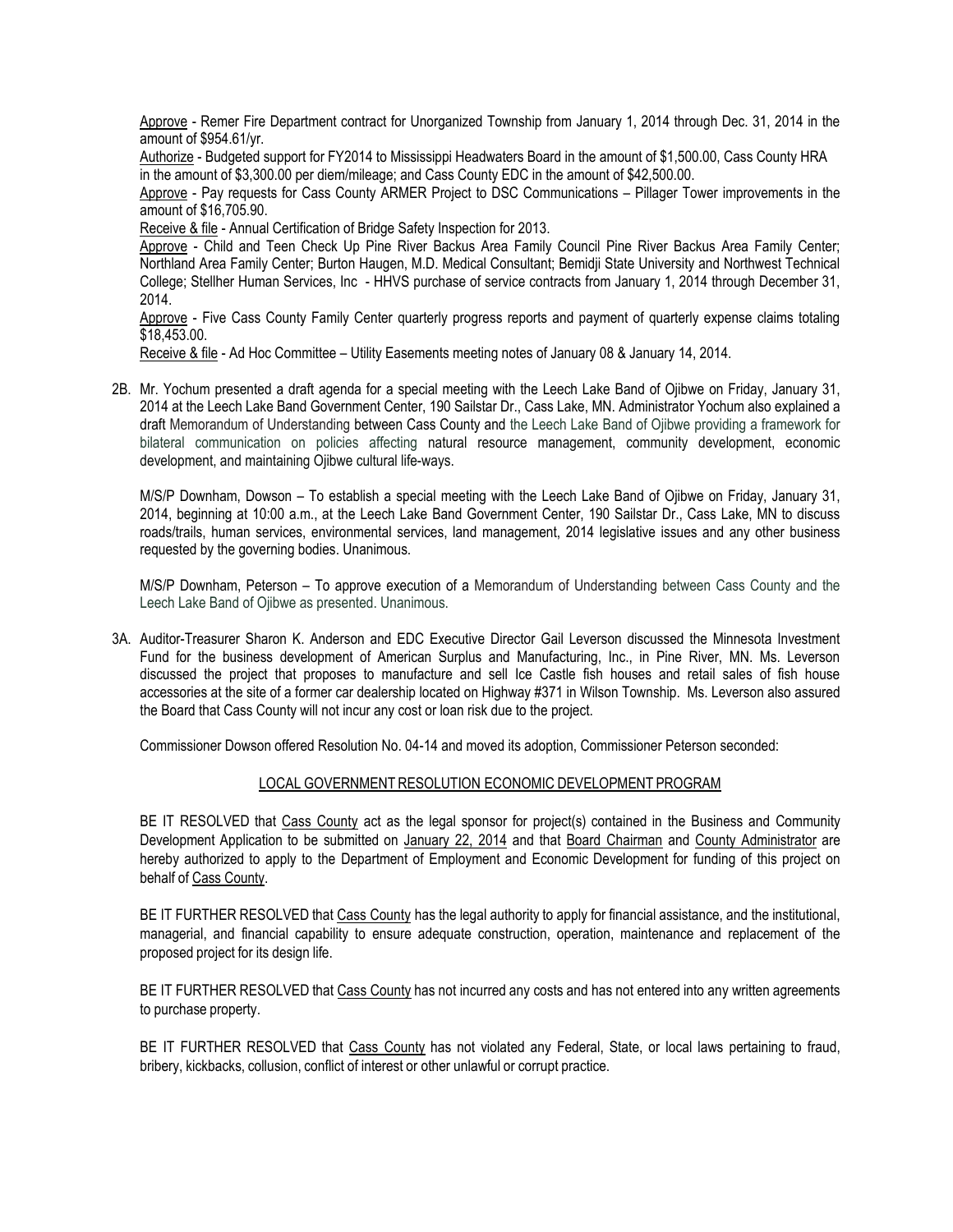Approve - Remer Fire Department contract for Unorganized Township from January 1, 2014 through Dec. 31, 2014 in the amount of \$954.61/yr.

Authorize - Budgeted support for FY2014 to Mississippi Headwaters Board in the amount of \$1,500.00, Cass County HRA in the amount of \$3,300.00 per diem/mileage; and Cass County EDC in the amount of \$42,500.00.

Approve - Pay requests for Cass County ARMER Project to DSC Communications – Pillager Tower improvements in the amount of \$16,705.90.

Receive & file - Annual Certification of Bridge Safety Inspection for 2013.

Approve - Child and Teen Check Up Pine River Backus Area Family Council Pine River Backus Area Family Center; Northland Area Family Center; Burton Haugen, M.D. Medical Consultant; Bemidji State University and Northwest Technical College; Stellher Human Services, Inc - HHVS purchase of service contracts from January 1, 2014 through December 31, 2014.

Approve - Five Cass County Family Center quarterly progress reports and payment of quarterly expense claims totaling \$18,453.00.

Receive & file - Ad Hoc Committee – Utility Easements meeting notes of January 08 & January 14, 2014.

2B. Mr. Yochum presented a draft agenda for a special meeting with the Leech Lake Band of Ojibwe on Friday, January 31, 2014 at the Leech Lake Band Government Center, 190 Sailstar Dr., Cass Lake, MN. Administrator Yochum also explained a draft Memorandum of Understanding between Cass County and the Leech Lake Band of Ojibwe providing a framework for bilateral communication on policies affecting natural resource management, community development, economic development, and maintaining Ojibwe cultural life-ways.

M/S/P Downham, Dowson – To establish a special meeting with the Leech Lake Band of Ojibwe on Friday, January 31, 2014, beginning at 10:00 a.m., at the Leech Lake Band Government Center, 190 Sailstar Dr., Cass Lake, MN to discuss roads/trails, human services, environmental services, land management, 2014 legislative issues and any other business requested by the governing bodies. Unanimous.

M/S/P Downham, Peterson – To approve execution of a Memorandum of Understanding between Cass County and the Leech Lake Band of Ojibwe as presented. Unanimous.

3A. Auditor-Treasurer Sharon K. Anderson and EDC Executive Director Gail Leverson discussed the Minnesota Investment Fund for the business development of American Surplus and Manufacturing, Inc., in Pine River, MN. Ms. Leverson discussed the project that proposes to manufacture and sell Ice Castle fish houses and retail sales of fish house accessories at the site of a former car dealership located on Highway #371 in Wilson Township. Ms. Leverson also assured the Board that Cass County will not incur any cost or loan risk due to the project.

Commissioner Dowson offered Resolution No. 04-14 and moved its adoption, Commissioner Peterson seconded:

## LOCAL GOVERNMENT RESOLUTION ECONOMIC DEVELOPMENT PROGRAM

BE IT RESOLVED that Cass County act as the legal sponsor for project(s) contained in the Business and Community Development Application to be submitted on January 22, 2014 and that Board Chairman and County Administrator are hereby authorized to apply to the Department of Employment and Economic Development for funding of this project on behalf of Cass County.

BE IT FURTHER RESOLVED that Cass County has the legal authority to apply for financial assistance, and the institutional, managerial, and financial capability to ensure adequate construction, operation, maintenance and replacement of the proposed project for its design life.

BE IT FURTHER RESOLVED that Cass County has not incurred any costs and has not entered into any written agreements to purchase property.

BE IT FURTHER RESOLVED that Cass County has not violated any Federal, State, or local laws pertaining to fraud, bribery, kickbacks, collusion, conflict of interest or other unlawful or corrupt practice.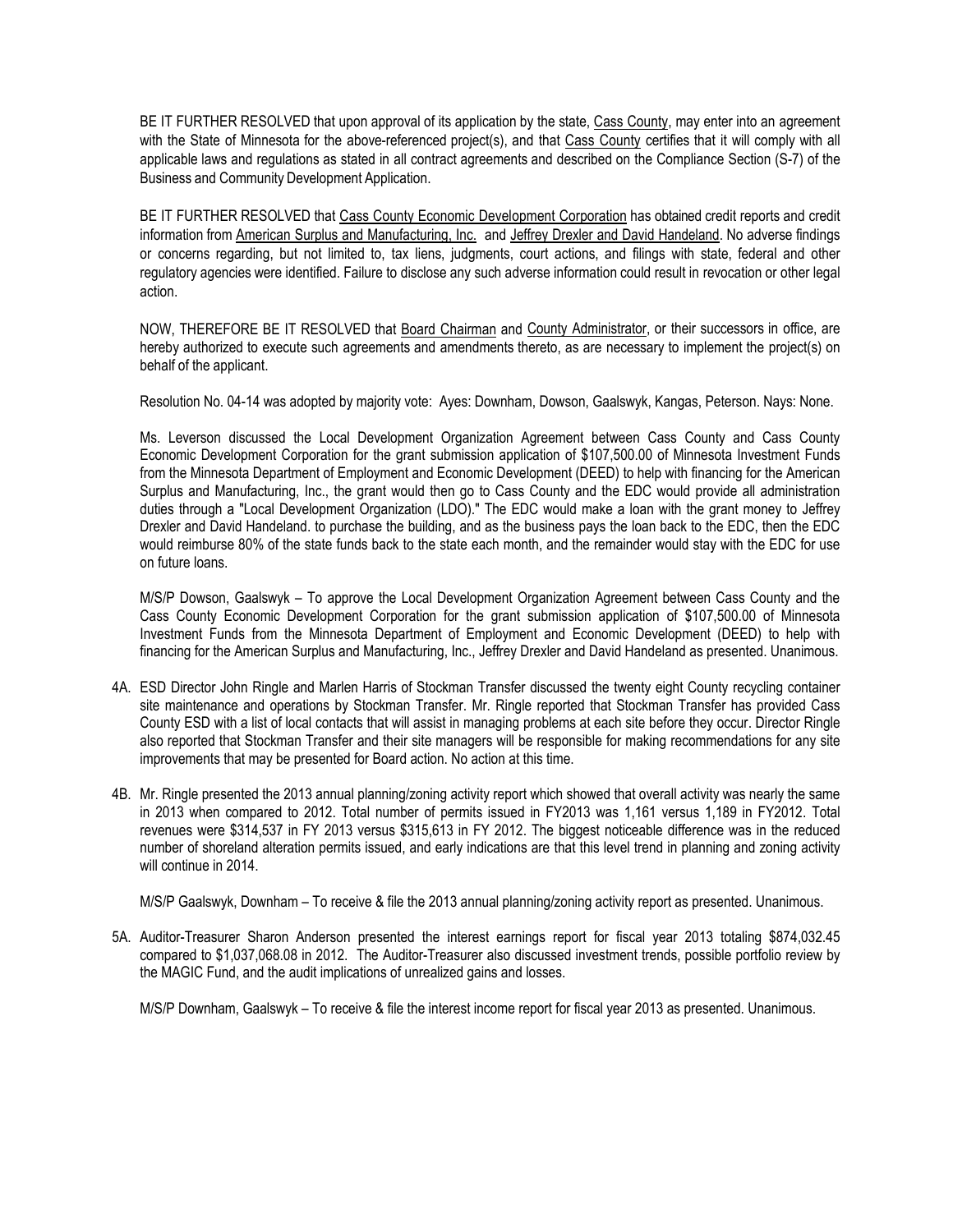BE IT FURTHER RESOLVED that upon approval of its application by the state, Cass County, may enter into an agreement with the State of Minnesota for the above-referenced project(s), and that Cass County certifies that it will comply with all applicable laws and regulations as stated in all contract agreements and described on the Compliance Section (S-7) of the Business and Community Development Application.

BE IT FURTHER RESOLVED that Cass County Economic Development Corporation has obtained credit reports and credit information from American Surplus and Manufacturing, Inc. and Jeffrey Drexler and David Handeland. No adverse findings or concerns regarding, but not limited to, tax liens, judgments, court actions, and filings with state, federal and other regulatory agencies were identified. Failure to disclose any such adverse information could result in revocation or other legal action.

NOW, THEREFORE BE IT RESOLVED that Board Chairman and County Administrator, or their successors in office, are hereby authorized to execute such agreements and amendments thereto, as are necessary to implement the project(s) on behalf of the applicant.

Resolution No. 04-14 was adopted by majority vote: Ayes: Downham, Dowson, Gaalswyk, Kangas, Peterson. Nays: None.

Ms. Leverson discussed the Local Development Organization Agreement between Cass County and Cass County Economic Development Corporation for the grant submission application of \$107,500.00 of Minnesota Investment Funds from the Minnesota Department of Employment and Economic Development (DEED) to help with financing for the American Surplus and Manufacturing, Inc., the grant would then go to Cass County and the EDC would provide all administration duties through a "Local Development Organization (LDO)." The EDC would make a loan with the grant money to Jeffrey Drexler and David Handeland. to purchase the building, and as the business pays the loan back to the EDC, then the EDC would reimburse 80% of the state funds back to the state each month, and the remainder would stay with the EDC for use on future loans.

M/S/P Dowson, Gaalswyk – To approve the Local Development Organization Agreement between Cass County and the Cass County Economic Development Corporation for the grant submission application of \$107,500.00 of Minnesota Investment Funds from the Minnesota Department of Employment and Economic Development (DEED) to help with financing for the American Surplus and Manufacturing, Inc., Jeffrey Drexler and David Handeland as presented. Unanimous.

- 4A. ESD Director John Ringle and Marlen Harris of Stockman Transfer discussed the twenty eight County recycling container site maintenance and operations by Stockman Transfer. Mr. Ringle reported that Stockman Transfer has provided Cass County ESD with a list of local contacts that will assist in managing problems at each site before they occur. Director Ringle also reported that Stockman Transfer and their site managers will be responsible for making recommendations for any site improvements that may be presented for Board action. No action at this time.
- 4B. Mr. Ringle presented the 2013 annual planning/zoning activity report which showed that overall activity was nearly the same in 2013 when compared to 2012. Total number of permits issued in FY2013 was 1,161 versus 1,189 in FY2012. Total revenues were \$314,537 in FY 2013 versus \$315,613 in FY 2012. The biggest noticeable difference was in the reduced number of shoreland alteration permits issued, and early indications are that this level trend in planning and zoning activity will continue in 2014.

M/S/P Gaalswyk, Downham – To receive & file the 2013 annual planning/zoning activity report as presented. Unanimous.

5A. Auditor-Treasurer Sharon Anderson presented the interest earnings report for fiscal year 2013 totaling \$874,032.45 compared to \$1,037,068.08 in 2012. The Auditor-Treasurer also discussed investment trends, possible portfolio review by the MAGIC Fund, and the audit implications of unrealized gains and losses.

M/S/P Downham, Gaalswyk – To receive & file the interest income report for fiscal year 2013 as presented. Unanimous.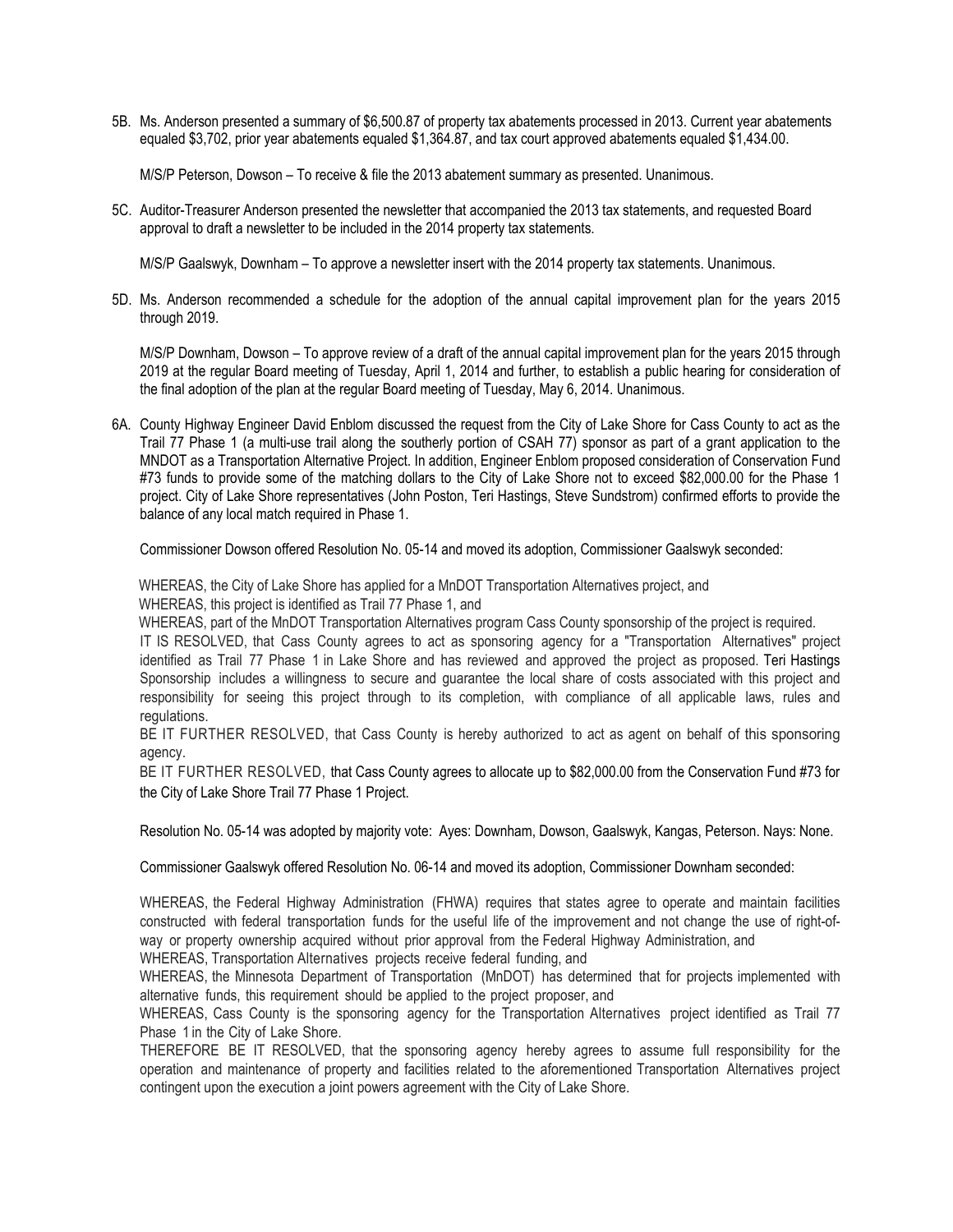5B. Ms. Anderson presented a summary of \$6,500.87 of property tax abatements processed in 2013. Current year abatements equaled \$3,702, prior year abatements equaled \$1,364.87, and tax court approved abatements equaled \$1,434.00.

M/S/P Peterson, Dowson – To receive & file the 2013 abatement summary as presented. Unanimous.

5C. Auditor-Treasurer Anderson presented the newsletter that accompanied the 2013 tax statements, and requested Board approval to draft a newsletter to be included in the 2014 property tax statements.

M/S/P Gaalswyk, Downham – To approve a newsletter insert with the 2014 property tax statements. Unanimous.

5D. Ms. Anderson recommended a schedule for the adoption of the annual capital improvement plan for the years 2015 through 2019.

M/S/P Downham, Dowson – To approve review of a draft of the annual capital improvement plan for the years 2015 through 2019 at the regular Board meeting of Tuesday, April 1, 2014 and further, to establish a public hearing for consideration of the final adoption of the plan at the regular Board meeting of Tuesday, May 6, 2014. Unanimous.

6A. County Highway Engineer David Enblom discussed the request from the City of Lake Shore for Cass County to act as the Trail 77 Phase 1 (a multi-use trail along the southerly portion of CSAH 77) sponsor as part of a grant application to the MNDOT as a Transportation Alternative Project. In addition, Engineer Enblom proposed consideration of Conservation Fund #73 funds to provide some of the matching dollars to the City of Lake Shore not to exceed \$82,000.00 for the Phase 1 project. City of Lake Shore representatives (John Poston, Teri Hastings, Steve Sundstrom) confirmed efforts to provide the balance of any local match required in Phase 1.

Commissioner Dowson offered Resolution No. 05-14 and moved its adoption, Commissioner Gaalswyk seconded:

WHEREAS, the City of Lake Shore has applied for a MnDOT Transportation Alternatives project, and WHEREAS, this project is identified as Trail 77 Phase 1, and

WHEREAS, part of the MnDOT Transportation Alternatives program Cass County sponsorship of the project is required.

IT IS RESOLVED, that Cass County agrees to act as sponsoring agency for a "Transportation Alternatives" project identified as Trail 77 Phase 1 in Lake Shore and has reviewed and approved the project as proposed. Teri Hastings Sponsorship includes a willingness to secure and guarantee the local share of costs associated with this project and responsibility for seeing this project through to its completion, with compliance of all applicable laws, rules and regulations.

BE IT FURTHER RESOLVED, that Cass County is hereby authorized to act as agent on behalf of this sponsoring agency.

BE IT FURTHER RESOLVED, that Cass County agrees to allocate up to \$82,000.00 from the Conservation Fund #73 for the City of Lake Shore Trail 77 Phase 1 Project.

Resolution No. 05-14 was adopted by majority vote: Ayes: Downham, Dowson, Gaalswyk, Kangas, Peterson. Nays: None.

Commissioner Gaalswyk offered Resolution No. 06-14 and moved its adoption, Commissioner Downham seconded:

WHEREAS, the Federal Highway Administration (FHWA) requires that states agree to operate and maintain facilities constructed with federal transportation funds for the useful life of the improvement and not change the use of right-ofway or property ownership acquired without prior approval from the Federal Highway Administration, and

WHEREAS, Transportation Alternatives projects receive federal funding, and

WHEREAS, the Minnesota Department of Transportation (MnDOT) has determined that for projects implemented with alternative funds, this requirement should be applied to the project proposer, and

WHEREAS, Cass County is the sponsoring agency for the Transportation Alternatives project identified as Trail 77 Phase 1 in the City of Lake Shore.

THEREFORE BE IT RESOLVED, that the sponsoring agency hereby agrees to assume full responsibility for the operation and maintenance of property and facilities related to the aforementioned Transportation Alternatives project contingent upon the execution a joint powers agreement with the City of Lake Shore.